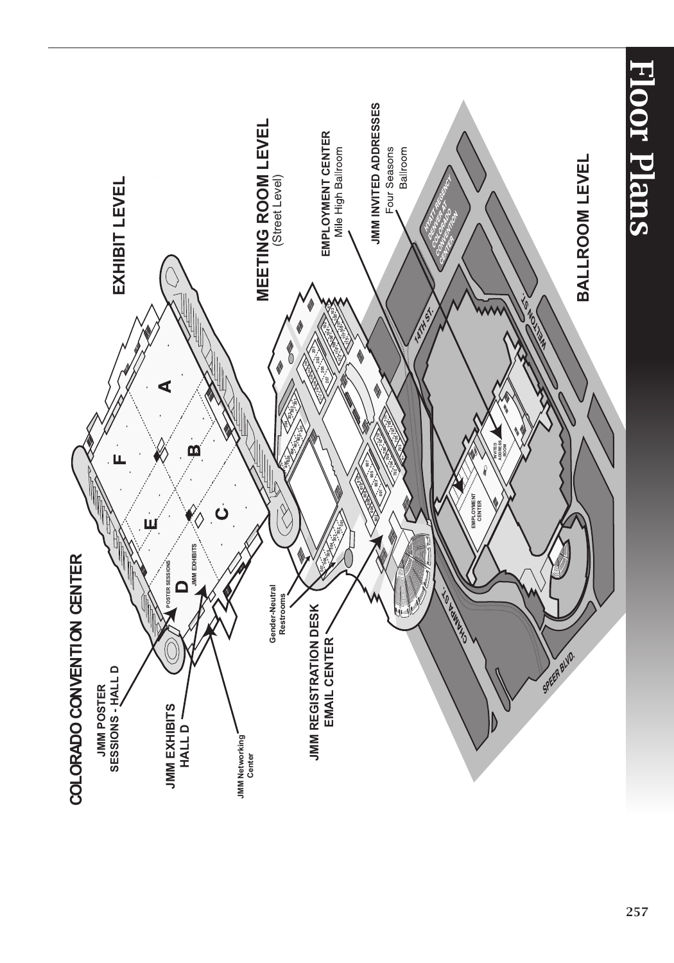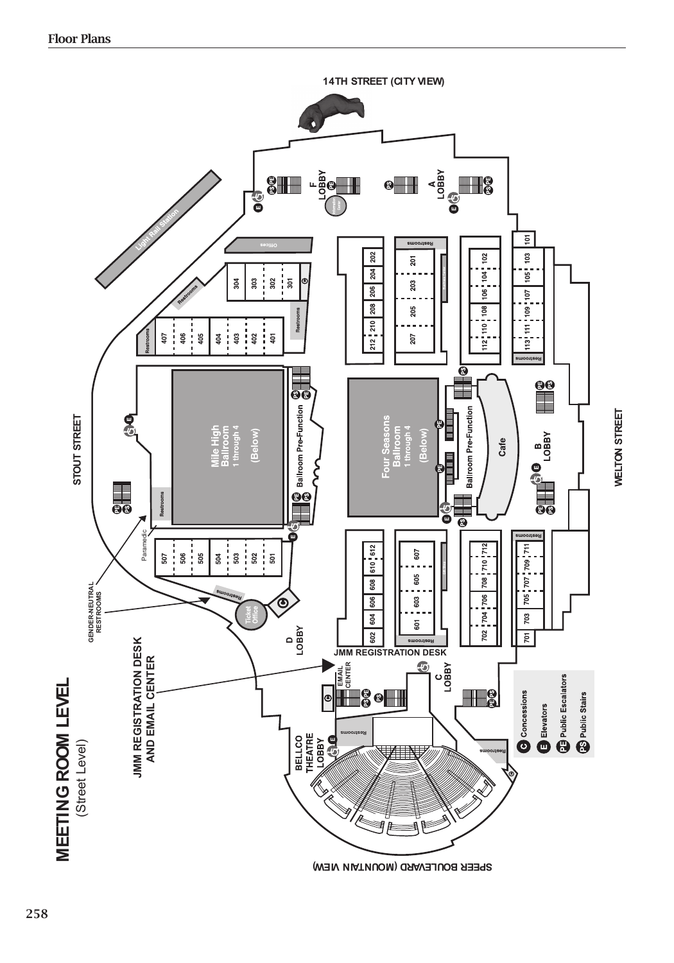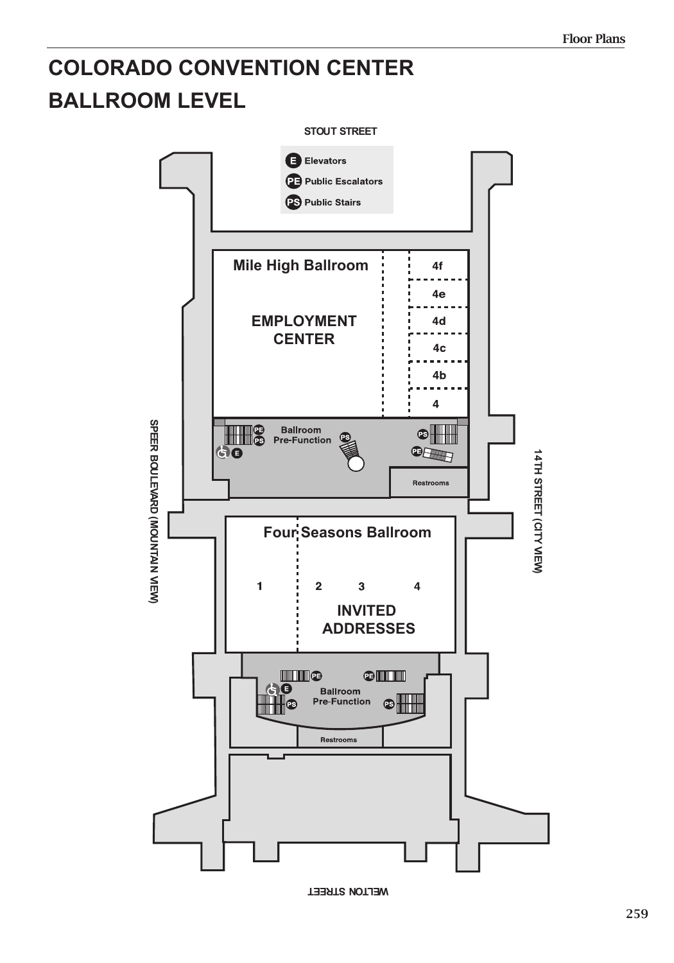## **COLORADO CONVENTION CENTER BALLROOM LEVEL**



**WELTON STREET**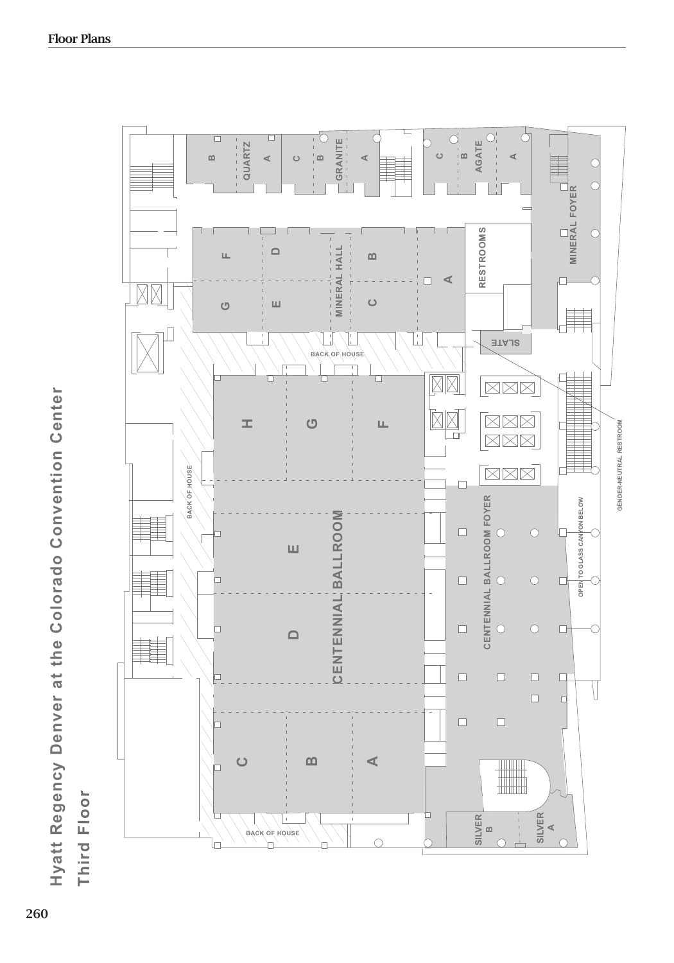| 느<br>$\bullet$<br>پ<br>Ξq<br>$\bar{\mathbf{o}}$<br>$\frac{1}{2}$<br>inventi |                               |
|-----------------------------------------------------------------------------|-------------------------------|
| $\circ$<br>$\dot{\mathbf{\circ}}$                                           |                               |
| $\bullet$<br>Ō<br>olora<br>$\bar{\mathbf{o}}$                               |                               |
| $\bullet$<br>$\overline{\phantom{0}}$<br>پ                                  |                               |
| $\frac{1}{2}$                                                               |                               |
| L<br>$\bar{\mathbf{Q}}$<br><b>Denv</b>                                      |                               |
| yauey<br>Reg                                                                | Ŝ.<br>$\bullet$<br>C<br>Щ     |
| Ħ<br>H <sub>va</sub><br>١                                                   | ₹<br>⊾<br>×,<br>$\equiv$<br>É |

Third Floor